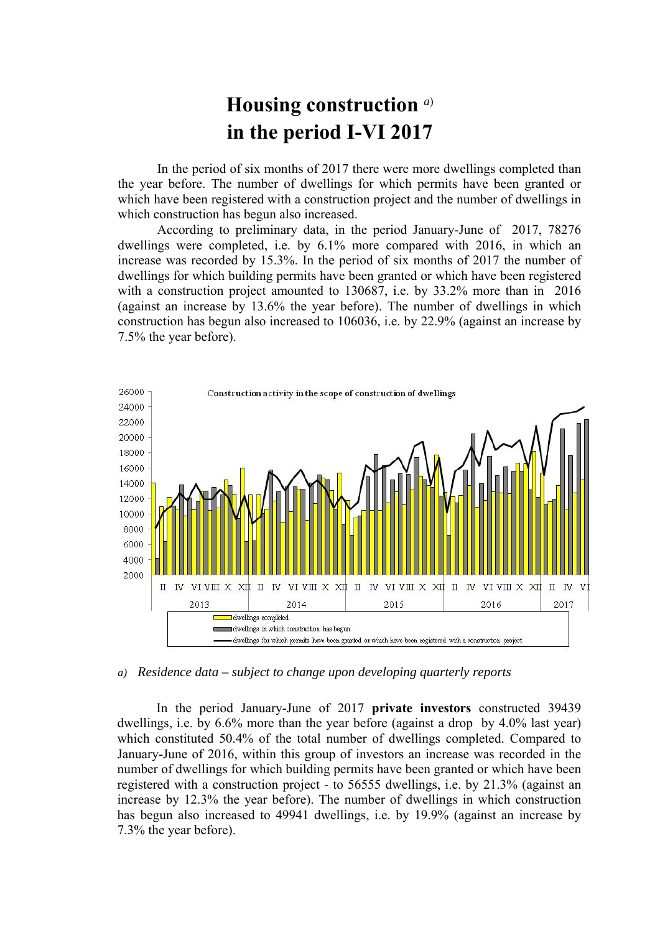## **Housing construction** *a*) **in the period I-VI 2017**

In the period of six months of 2017 there were more dwellings completed than the year before. The number of dwellings for which permits have been granted or which have been registered with a construction project and the number of dwellings in which construction has begun also increased.

According to preliminary data, in the period January-June of 2017, 78276 dwellings were completed, i.e. by 6.1% more compared with 2016, in which an increase was recorded by 15.3%. In the period of six months of 2017 the number of dwellings for which building permits have been granted or which have been registered with a construction project amounted to 130687, i.e. by 33.2% more than in 2016 (against an increase by 13.6% the year before). The number of dwellings in which construction has begun also increased to 106036, i.e. by 22.9% (against an increase by 7.5% the year before).



*a) Residence data – subject to change upon developing quarterly reports*

In the period January-June of 2017 **private investors** constructed 39439 dwellings, i.e. by 6.6% more than the year before (against a drop by 4.0% last year) which constituted 50.4% of the total number of dwellings completed. Compared to January-June of 2016, within this group of investors an increase was recorded in the number of dwellings for which building permits have been granted or which have been registered with a construction project - to 56555 dwellings, i.e. by 21.3% (against an increase by 12.3% the year before). The number of dwellings in which construction has begun also increased to 49941 dwellings, i.e. by 19.9% (against an increase by 7.3% the year before).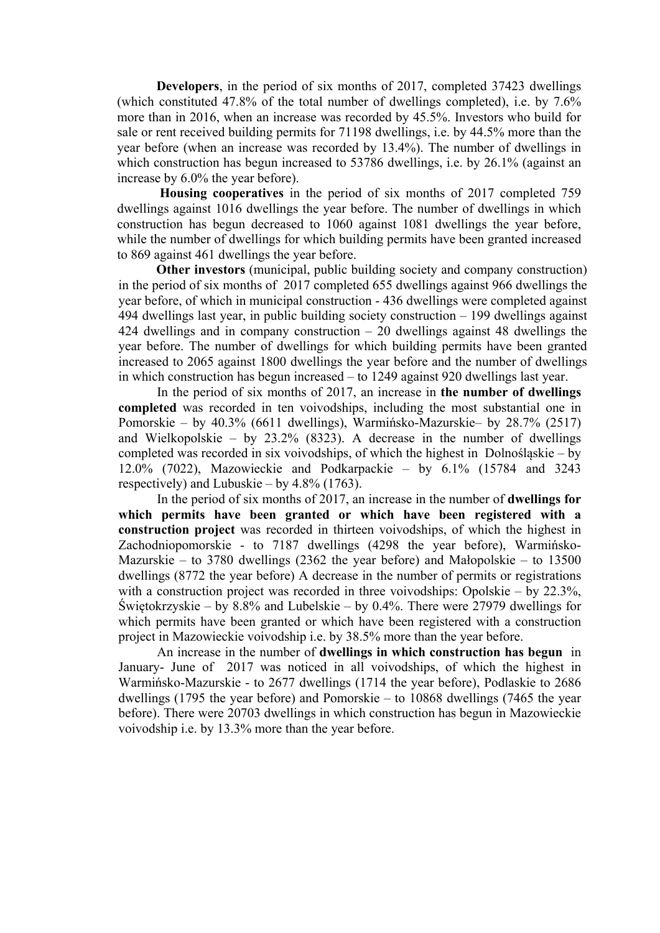**Developers**, in the period of six months of 2017, completed 37423 dwellings (which constituted 47.8% of the total number of dwellings completed), i.e. by 7.6% more than in 2016, when an increase was recorded by 45.5%. Investors who build for sale or rent received building permits for 71198 dwellings, i.e. by 44.5% more than the year before (when an increase was recorded by 13.4%). The number of dwellings in which construction has begun increased to 53786 dwellings, i.e. by 26.1% (against an increase by 6.0% the year before).

**Housing cooperatives** in the period of six months of 2017 completed 759 dwellings against 1016 dwellings the year before. The number of dwellings in which construction has begun decreased to 1060 against 1081 dwellings the year before, while the number of dwellings for which building permits have been granted increased to 869 against 461 dwellings the year before.

**Other investors** (municipal, public building society and company construction) in the period of six months of 2017 completed 655 dwellings against 966 dwellings the year before, of which in municipal construction - 436 dwellings were completed against 494 dwellings last year, in public building society construction – 199 dwellings against 424 dwellings and in company construction – 20 dwellings against 48 dwellings the year before. The number of dwellings for which building permits have been granted increased to 2065 against 1800 dwellings the year before and the number of dwellings in which construction has begun increased – to 1249 against 920 dwellings last year.

In the period of six months of 2017, an increase in **the number of dwellings completed** was recorded in ten voivodships, including the most substantial one in Pomorskie – by 40.3% (6611 dwellings), Warmińsko-Mazurskie– by 28.7% (2517) and Wielkopolskie – by  $23.2\%$  (8323). A decrease in the number of dwellings completed was recorded in six voivodships, of which the highest in Dolnośląskie – by 12.0% (7022), Mazowieckie and Podkarpackie – by 6.1% (15784 and 3243 respectively) and Lubuskie – by  $4.8\%$  (1763).

In the period of six months of 2017, an increase in the number of **dwellings for which permits have been granted or which have been registered with a construction project** was recorded in thirteen voivodships, of which the highest in Zachodniopomorskie - to 7187 dwellings (4298 the year before), Warmińsko-Mazurskie – to 3780 dwellings (2362 the year before) and Małopolskie – to 13500 dwellings (8772 the year before) A decrease in the number of permits or registrations with a construction project was recorded in three voivodships: Opolskie – by 22.3%, Świętokrzyskie – by 8.8% and Lubelskie – by 0.4%. There were 27979 dwellings for which permits have been granted or which have been registered with a construction project in Mazowieckie voivodship i.e. by 38.5% more than the year before.

An increase in the number of **dwellings in which construction has begun** in January- June of 2017 was noticed in all voivodships, of which the highest in Warmińsko-Mazurskie - to 2677 dwellings (1714 the year before), Podlaskie to 2686 dwellings (1795 the year before) and Pomorskie – to 10868 dwellings (7465 the year before). There were 20703 dwellings in which construction has begun in Mazowieckie voivodship i.e. by 13.3% more than the year before.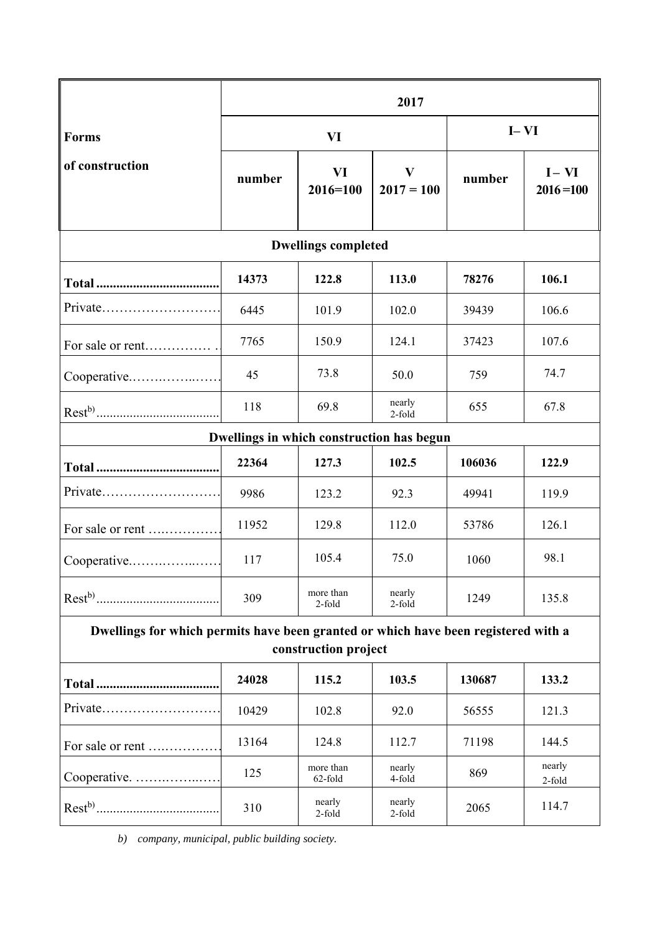|                                                                                                            | 2017   |                      |                          |        |                          |
|------------------------------------------------------------------------------------------------------------|--------|----------------------|--------------------------|--------|--------------------------|
| <b>Forms</b><br>of construction                                                                            | VI     |                      |                          | $I-VI$ |                          |
|                                                                                                            | number | VI<br>$2016 = 100$   | $\bf{V}$<br>$2017 = 100$ | number | $I - VI$<br>$2016 = 100$ |
| <b>Dwellings completed</b>                                                                                 |        |                      |                          |        |                          |
|                                                                                                            | 14373  | 122.8                | 113.0                    | 78276  | 106.1                    |
| Private                                                                                                    | 6445   | 101.9                | 102.0                    | 39439  | 106.6                    |
| For sale or rent                                                                                           | 7765   | 150.9                | 124.1                    | 37423  | 107.6                    |
| Cooperative                                                                                                | 45     | 73.8                 | 50.0                     | 759    | 74.7                     |
|                                                                                                            | 118    | 69.8                 | nearly<br>2-fold         | 655    | 67.8                     |
| Dwellings in which construction has begun                                                                  |        |                      |                          |        |                          |
|                                                                                                            | 22364  | 127.3                | 102.5                    | 106036 | 122.9                    |
|                                                                                                            | 9986   | 123.2                | 92.3                     | 49941  | 119.9                    |
| For sale or rent                                                                                           | 11952  | 129.8                | 112.0                    | 53786  | 126.1                    |
| Cooperative                                                                                                | 117    | 105.4                | 75.0                     | 1060   | 98.1                     |
|                                                                                                            | 309    | more than<br>2-fold  | nearly<br>2-fold         | 1249   | 135.8                    |
| Dwellings for which permits have been granted or which have been registered with a<br>construction project |        |                      |                          |        |                          |
|                                                                                                            | 24028  | 115.2                | 103.5                    | 130687 | 133.2                    |
| Private                                                                                                    | 10429  | 102.8                | 92.0                     | 56555  | 121.3                    |
| For sale or rent                                                                                           | 13164  | 124.8                | 112.7                    | 71198  | 144.5                    |
| Cooperative.                                                                                               | 125    | more than<br>62-fold | nearly<br>4-fold         | 869    | nearly<br>2-fold         |
|                                                                                                            | 310    | nearly<br>2-fold     | nearly<br>$2$ -fold      | 2065   | 114.7                    |

*b) company, municipal, public building society.*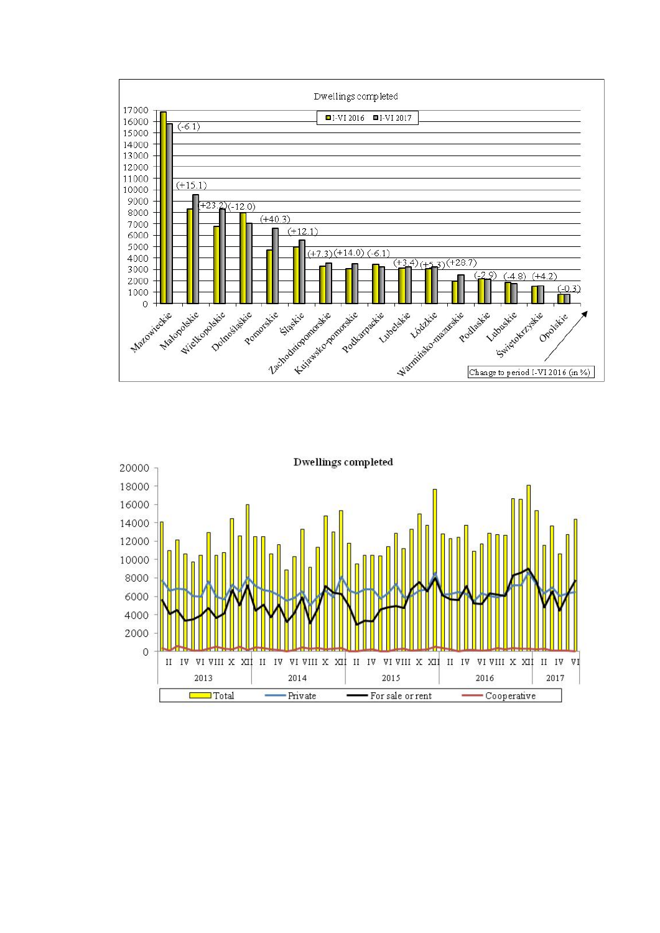